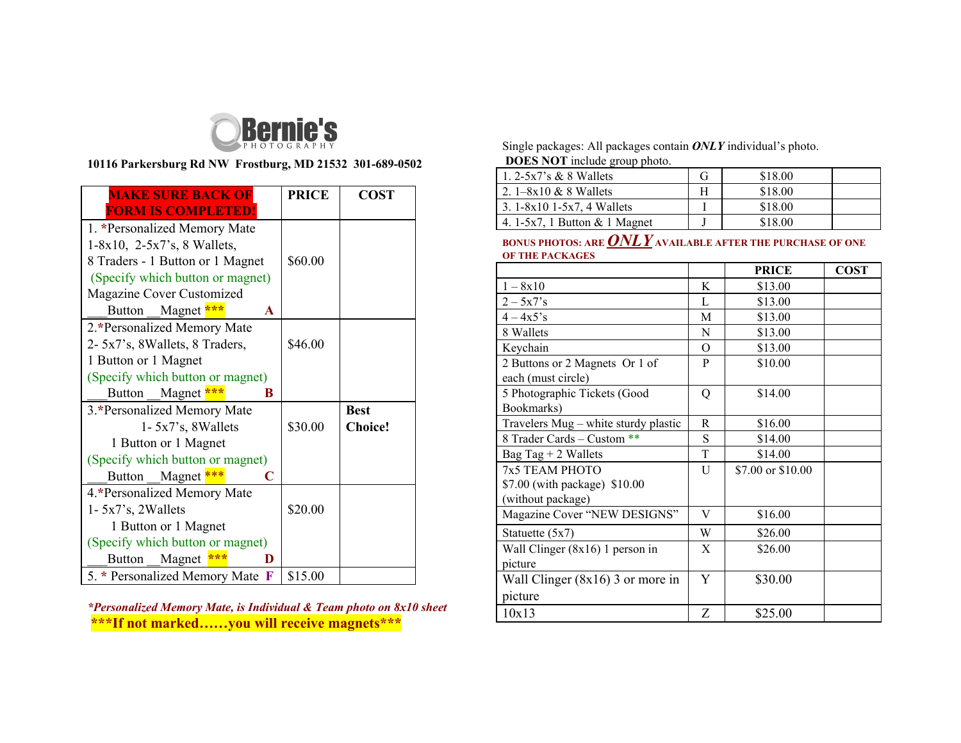

## **10116 Parkersburg Rd NW Frostburg, MD 21532 301-689-0502**

| <b>MAKE SURE BACK OF</b>                     | <b>PRICE</b> | <b>COST</b>    |
|----------------------------------------------|--------------|----------------|
| <b>FORM IS COMPLETED!</b>                    |              |                |
| 1. *Personalized Memory Mate                 |              |                |
| $1-8x10$ , $2-5x7$ 's, 8 Wallets,            |              |                |
| 8 Traders - 1 Button or 1 Magnet             | \$60.00      |                |
| (Specify which button or magnet)             |              |                |
| Magazine Cover Customized                    |              |                |
| Magnet ***<br>Button<br>$\mathbf{A}$         |              |                |
| 2.*Personalized Memory Mate                  |              |                |
| 2- 5x7's, 8Wallets, 8 Traders,               | \$46.00      |                |
| 1 Button or 1 Magnet                         |              |                |
| (Specify which button or magnet)             |              |                |
| Magnet ***<br><b>Button</b><br>R             |              |                |
| 3.*Personalized Memory Mate                  |              | <b>Best</b>    |
| $1 - 5x7$ 's, 8 Wallets                      | \$30.00      | <b>Choice!</b> |
| 1 Button or 1 Magnet                         |              |                |
| (Specify which button or magnet)             |              |                |
| Magnet ***<br>C<br><b>Button</b>             |              |                |
| 4.*Personalized Memory Mate                  |              |                |
| $1 - 5x7$ 's, 2Wallets                       | \$20.00      |                |
| 1 Button or 1 Magnet                         |              |                |
| (Specify which button or magnet)             |              |                |
| Magnet<br>Button<br>D                        |              |                |
| 5. * Personalized Memory Mate<br>$\mathbf F$ | \$15.00      |                |

*\*Personalized Memory Mate, is Individual & Team photo on 8x10 sheet* **\*\*\*If not marked……you will receive magnets\*\*\***

Single packages: All packages contain *ONLY* individual's photo. **DOES NOT** include group photo.

| 1. $2-5x7$ 's & 8 Wallets       | \$18.00 |  |
|---------------------------------|---------|--|
| 2. $1-8x10 \& 8$ Wallets        | \$18.00 |  |
| 3. $1-8x10$ 1-5x7, 4 Wallets    | \$18.00 |  |
| 4. 1-5x7, 1 Button $& 1$ Magnet | \$18.00 |  |

## **BONUS PHOTOS: ARE***ONLY* **AVAILABLE AFTER THE PURCHASE OF ONE OF THE PACKAGES**

|                                      |   | <b>PRICE</b>      | <b>COST</b> |
|--------------------------------------|---|-------------------|-------------|
| $1 - 8x10$                           | K | \$13.00           |             |
| $2 - 5x7s$                           | L | \$13.00           |             |
| $4 - 4x5$ 's                         | М | \$13.00           |             |
| 8 Wallets                            | N | \$13.00           |             |
| Keychain                             | O | \$13.00           |             |
| 2 Buttons or 2 Magnets Or 1 of       | P | \$10.00           |             |
| each (must circle)                   |   |                   |             |
| 5 Photographic Tickets (Good         | Q | \$14.00           |             |
| Bookmarks)                           |   |                   |             |
| Travelers Mug – white sturdy plastic | R | \$16.00           |             |
| 8 Trader Cards - Custom **           | S | \$14.00           |             |
| Bag Tag $+ 2$ Wallets                | T | \$14.00           |             |
| 7x5 TEAM PHOTO                       | U | \$7.00 or \$10.00 |             |
| \$7.00 (with package) \$10.00        |   |                   |             |
| (without package)                    |   |                   |             |
| Magazine Cover "NEW DESIGNS"         | V | \$16.00           |             |
| Statuette (5x7)                      | W | \$26.00           |             |
| Wall Clinger (8x16) 1 person in      | X | \$26.00           |             |
| picture                              |   |                   |             |
| Wall Clinger $(8x16)$ 3 or more in   | Y | \$30.00           |             |
| picture                              |   |                   |             |
| 10x13                                | Z | \$25.00           |             |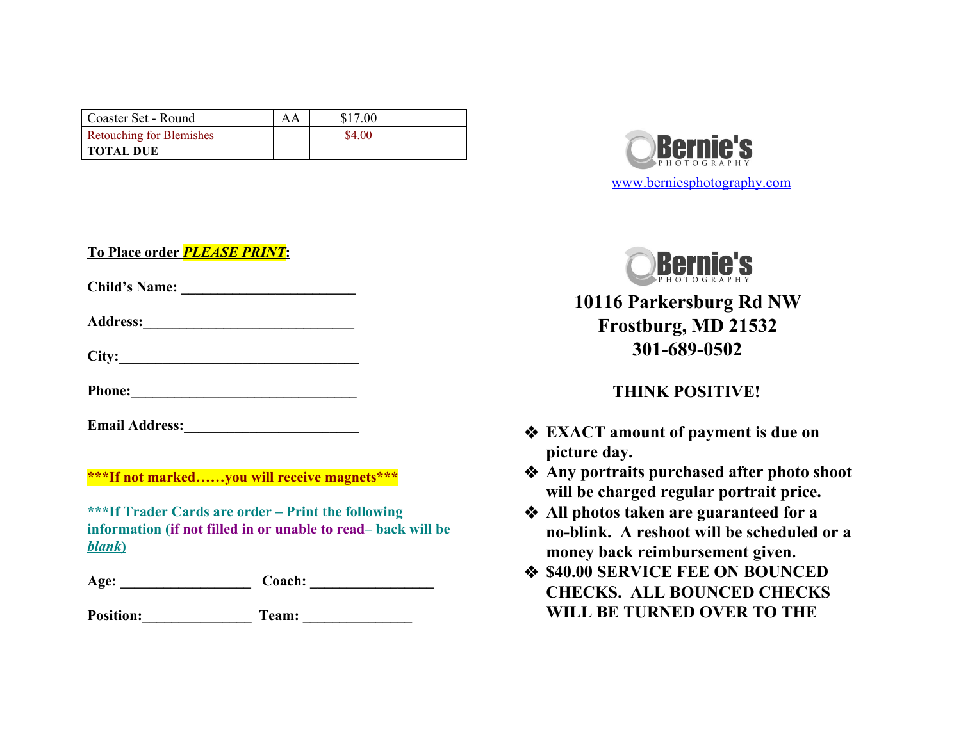| Coaster Set - Round             | AΑ | \$17.00 |  |
|---------------------------------|----|---------|--|
| <b>Retouching for Blemishes</b> |    | \$4.00  |  |
| <b>TOTAL DUE</b>                |    |         |  |

**To Place order** *PLEASE PRINT***:**

**Child's Name: \_\_\_\_\_\_\_\_\_\_\_\_\_\_\_\_\_\_\_\_\_\_\_\_**

**Address:\_\_\_\_\_\_\_\_\_\_\_\_\_\_\_\_\_\_\_\_\_\_\_\_\_\_\_\_\_**

**City:\_\_\_\_\_\_\_\_\_\_\_\_\_\_\_\_\_\_\_\_\_\_\_\_\_\_\_\_\_\_\_\_\_**

**Phone:\_\_\_\_\_\_\_\_\_\_\_\_\_\_\_\_\_\_\_\_\_\_\_\_\_\_\_\_\_\_\_**

**Email Address:** 

**\*\*\*If not marked……you will receive magnets\*\*\***

**\*\*\*If Trader Cards are order – Print the following information (if not filled in or unable to read– back will be** *blank***)**

Age: Coach:

**Position:\_\_\_\_\_\_\_\_\_\_\_\_\_\_\_ Team: \_\_\_\_\_\_\_\_\_\_\_\_\_\_\_**





**10116 Parkersburg Rd NW Frostburg, MD 21532 301-689-0502**

## **THINK POSITIVE!**

- ❖ **EXACT amount of payment is due on picture day.**
- ❖ **Any portraits purchased after photo shoot will be charged regular portrait price.**
- ❖ **All photos taken are guaranteed for a no-blink. A reshoot will be scheduled or a money back reimbursement given.**
- ❖ **\$40.00 SERVICE FEE ON BOUNCED CHECKS. ALL BOUNCED CHECKS WILL BE TURNED OVER TO THE**